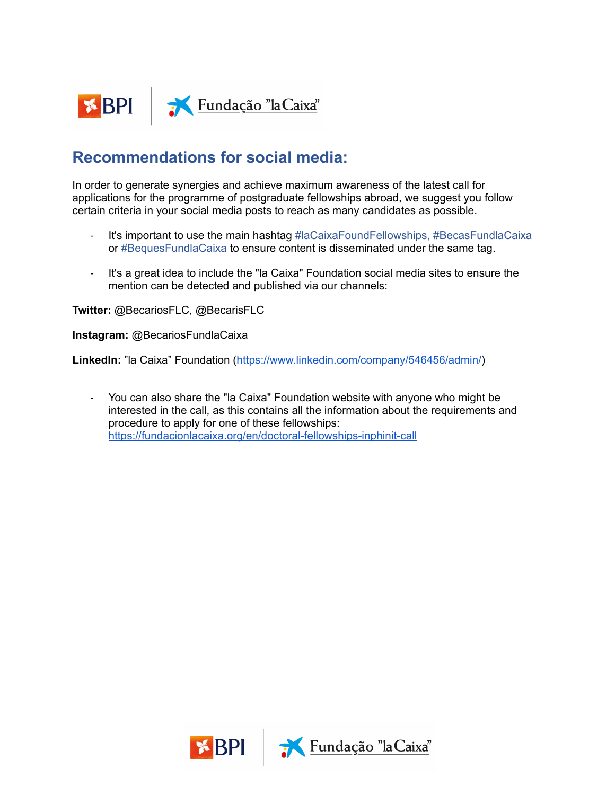

## **Recommendations for social media:**

In order to generate synergies and achieve maximum awareness of the latest call for applications for the programme of postgraduate fellowships abroad, we suggest you follow certain criteria in your social media posts to reach as many candidates as possible.

- It's important to use the main hashtag #laCaixaFoundFellowships, #BecasFundlaCaixa or #BequesFundlaCaixa to ensure content is disseminated under the same tag.
- It's a great idea to include the "la Caixa" Foundation social media sites to ensure the mention can be detected and published via our channels:

**Twitter:** @BecariosFLC, @BecarisFLC

**Instagram:** @BecariosFundlaCaixa

**LinkedIn:** "la Caixa" Foundation (<https://www.linkedin.com/company/546456/admin/>)

- You can also share the "la Caixa" Foundation website with anyone who might be interested in the call, as this contains all the information about the requirements and procedure to apply for one of these fellowships: <https://fundacionlacaixa.org/en/doctoral-fellowships-inphinit-call>